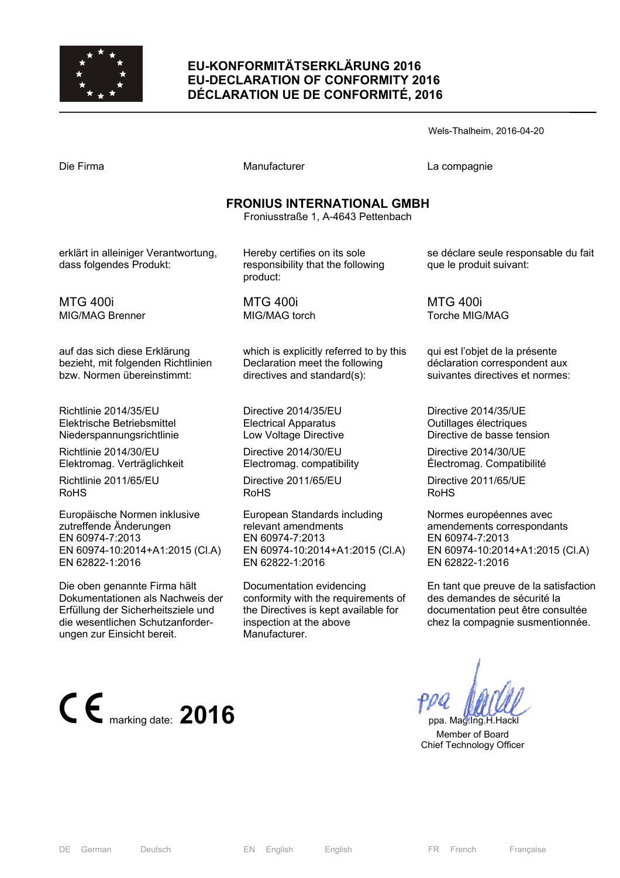

## **EU-KONFORMITÄTSERKLÄRUNG 2016 EU-DECLARATION OF CONFORMITY 2016 DÉCLARATION UE DE CONFORMITÉ, 2016**

| Wels-Thalheim, 2016-04-20 |  |
|---------------------------|--|
|---------------------------|--|

| Die Firma |
|-----------|
|-----------|

Manufacturer **Compagnie** La compagnie

#### **FRONIUS INTERNATIONAL GMBH**

Froniusstraße 1, A-4643 Pettenbach

erklärt in alleiniger Verantwortung, dass folgendes Produkt:

MTG 400i MIG/MAG Brenner

auf das sich diese Erklärung bezieht, mit folgenden Richtlinien bzw. Normen übereinstimmt:

Richtlinie 2014/35/EU Elektrische Betriebsmittel Niederspannungsrichtlinie

Richtlinie 2014/30/EU Elektromag. Verträglichkeit

Richtlinie 2011/65/EU RoHS

Europäische Normen inklusive zutreffende Änderungen EN 60974-7:2013 EN 60974-10:2014+A1:2015 (Cl.A) EN 62822-1:2016

Die oben genannte Firma hält Dokumentationen als Nachweis der Erfüllung der Sicherheitsziele und die wesentlichen Schutzanforderungen zur Einsicht bereit.



Hereby certifies on its sole responsibility that the following product:

MTG 400i MIG/MAG torch

which is explicitly referred to by this Declaration meet the following directives and standard(s):

Directive 2014/35/EU Electrical Apparatus Low Voltage Directive

Directive 2014/30/EU Electromag. compatibility

Directive 2011/65/EU RoHS

European Standards including relevant amendments EN 60974-7:2013 EN 60974-10:2014+A1:2015 (Cl.A) EN 62822-1:2016

Documentation evidencing conformity with the requirements of the Directives is kept available for inspection at the above Manufacturer.

se déclare seule responsable du fait que le produit suivant:

MTG 400i Torche MIG/MAG

qui est l'objet de la présente déclaration correspondent aux suivantes directives et normes:

Directive 2014/35/UE Outillages électriques Directive de basse tension

Directive 2014/30/UE Électromag. Compatibilité

Directive 2011/65/UE RoHS

Normes européennes avec amendements correspondants EN 60974-7:2013 EN 60974-10:2014+A1:2015 (Cl.A) EN 62822-1:2016

En tant que preuve de la satisfaction des demandes de sécurité la documentation peut être consultée chez la compagnie susmentionnée.

 Member of Board Chief Technology Officer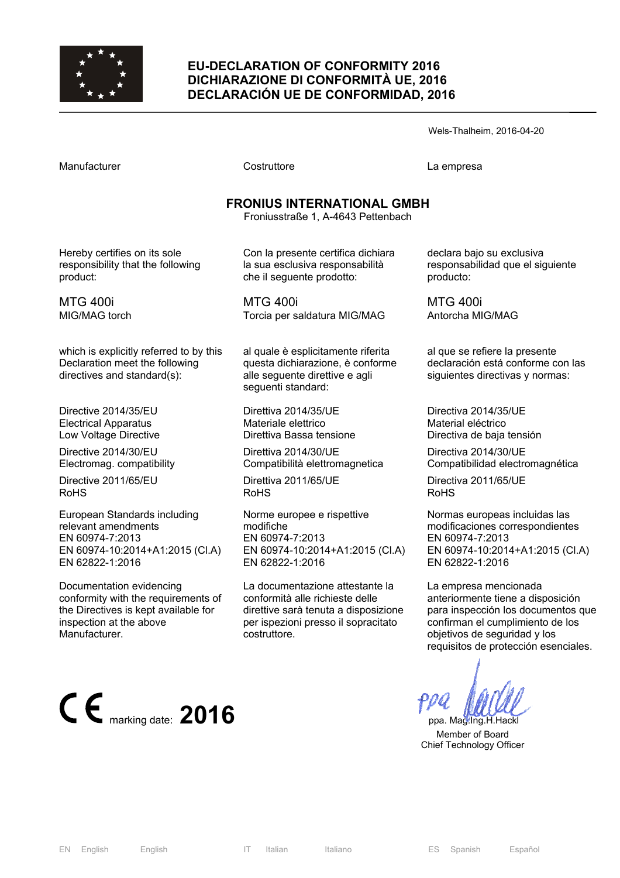

#### **EU-DECLARATION OF CONFORMITY 2016 DICHIARAZIONE DI CONFORMITÀ UE, 2016 DECLARACIÓN UE DE CONFORMIDAD, 2016**

Wels-Thalheim, 2016-04-20

Manufacturer Costruttore La empresa

# **FRONIUS INTERNATIONAL GMBH**

Froniusstraße 1, A-4643 Pettenbach

Hereby certifies on its sole responsibility that the following product:

MTG 400i MIG/MAG torch

which is explicitly referred to by this Declaration meet the following directives and standard(s):

Directive 2014/35/EU Electrical Apparatus Low Voltage Directive

Directive 2014/30/EU Electromag. compatibility

Directive 2011/65/EU RoHS

European Standards including relevant amendments EN 60974-7:2013 EN 60974-10:2014+A1:2015 (Cl.A) EN 62822-1:2016

Documentation evidencing conformity with the requirements of the Directives is kept available for inspection at the above Manufacturer.



Con la presente certifica dichiara la sua esclusiva responsabilità che il seguente prodotto:

MTG 400i Torcia per saldatura MIG/MAG

al quale è esplicitamente riferita questa dichiarazione, è conforme alle seguente direttive e agli seguenti standard:

Direttiva 2014/35/UE Materiale elettrico Direttiva Bassa tensione

Direttiva 2014/30/UE Compatibilità elettromagnetica

Direttiva 2011/65/UE RoHS

Norme europee e rispettive modifiche EN 60974-7:2013 EN 60974-10:2014+A1:2015 (Cl.A) EN 62822-1:2016

La documentazione attestante la conformità alle richieste delle direttive sarà tenuta a disposizione per ispezioni presso il sopracitato costruttore.

declara bajo su exclusiva responsabilidad que el siguiente producto:

MTG 400i Antorcha MIG/MAG

al que se refiere la presente declaración está conforme con las siguientes directivas y normas:

Directiva 2014/35/UE Material eléctrico Directiva de baja tensión

Directiva 2014/30/UE Compatibilidad electromagnética

Directiva 2011/65/UE RoHS

Normas europeas incluidas las modificaciones correspondientes EN 60974-7:2013 EN 60974-10:2014+A1:2015 (Cl.A) EN 62822-1:2016

La empresa mencionada anteriormente tiene a disposición para inspección los documentos que confirman el cumplimiento de los objetivos de seguridad y los requisitos de protección esenciales.

 Member of Board Chief Technology Officer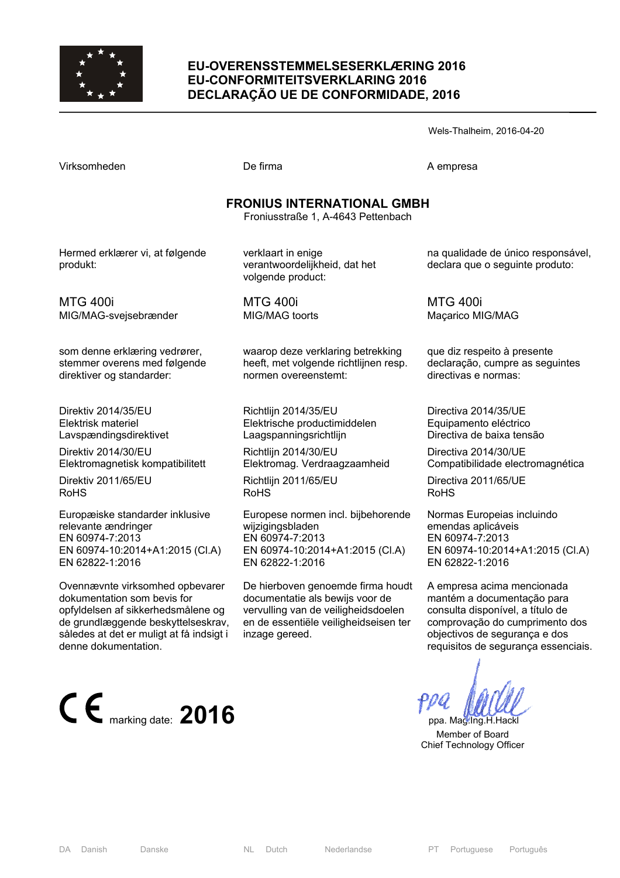

#### **EU-OVERENSSTEMMELSESERKLÆRING 2016 EU-CONFORMITEITSVERKLARING 2016 DECLARAÇÃO UE DE CONFORMIDADE, 2016**

Wels-Thalheim, 2016-04-20

De firma A empresa

## **FRONIUS INTERNATIONAL GMBH**

Froniusstraße 1, A-4643 Pettenbach

Hermed erklærer vi, at følgende produkt:

verklaart in enige verantwoordelijkheid, dat het volgende product:

MTG 400i MIG/MAG-svejsebrænder

som denne erklæring vedrører, stemmer overens med følgende direktiver og standarder:

Direktiv 2014/35/EU Elektrisk materiel Lavspændingsdirektivet

Direktiv 2014/30/EU Elektromagnetisk kompatibilitett

Direktiv 2011/65/EU RoHS

Europæiske standarder inklusive relevante ændringer EN 60974-7:2013 EN 60974-10:2014+A1:2015 (Cl.A) EN 62822-1:2016

Ovennævnte virksomhed opbevarer dokumentation som bevis for opfyldelsen af sikkerhedsmålene og de grundlæggende beskyttelseskrav, således at det er muligt at få indsigt i denne dokumentation.



MTG 400i MIG/MAG toorts

waarop deze verklaring betrekking heeft, met volgende richtlijnen resp. normen overeenstemt:

Richtlijn 2014/35/EU Elektrische productimiddelen Laagspanningsrichtlijn

Richtlijn 2014/30/EU Elektromag. Verdraagzaamheid

Richtlijn 2011/65/EU RoHS

Europese normen incl. bijbehorende wijzigingsbladen EN 60974-7:2013 EN 60974-10:2014+A1:2015 (Cl.A) EN 62822-1:2016

De hierboven genoemde firma houdt documentatie als bewijs voor de vervulling van de veiligheidsdoelen en de essentiële veiligheidseisen ter inzage gereed.

na qualidade de único responsável, declara que o seguinte produto:

MTG 400i Maçarico MIG/MAG

que diz respeito à presente declaração, cumpre as seguintes directivas e normas:

Directiva 2014/35/UE Equipamento eléctrico Directiva de baixa tensão

Directiva 2014/30/UE Compatibilidade electromagnética

Directiva 2011/65/UE RoHS

Normas Europeias incluindo emendas aplicáveis EN 60974-7:2013 EN 60974-10:2014+A1:2015 (Cl.A) EN 62822-1:2016

A empresa acima mencionada mantém a documentação para consulta disponível, a título de comprovação do cumprimento dos objectivos de segurança e dos requisitos de segurança essenciais.

 Member of Board Chief Technology Officer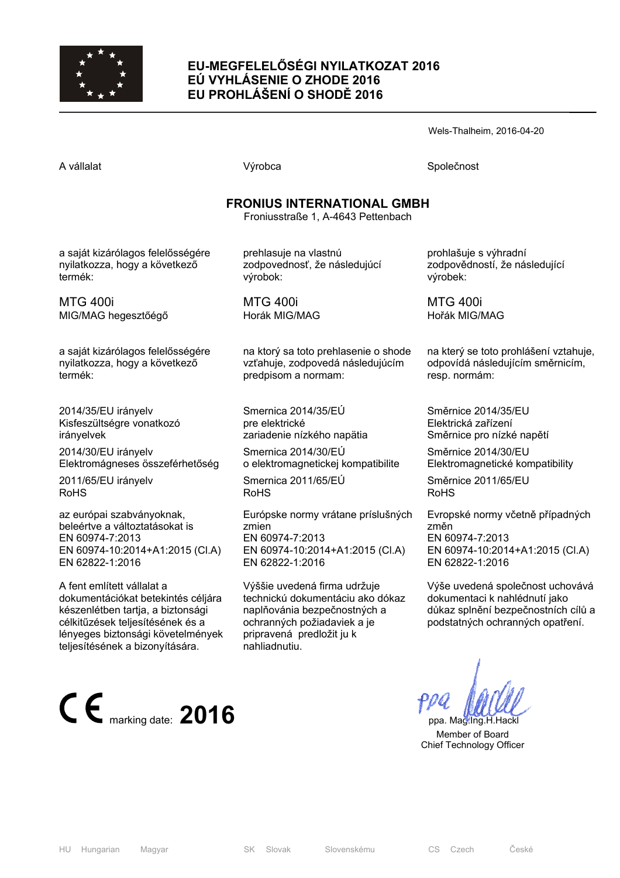

## **EU-MEGFELELŐSÉGI NYILATKOZAT 2016 EÚ VYHLÁSENIE O ZHODE 2016 EU PROHLÁŠENÍ O SHODĚ 2016**

Wels-Thalheim, 2016-04-20

A vállalat Společnost Národová výrobca Na vállalat Společnost Společnost Společnost Společnost Společnost Společnost

## **FRONIUS INTERNATIONAL GMBH**

Froniusstraße 1, A-4643 Pettenbach

a saját kizárólagos felelősségére nyilatkozza, hogy a következő termék:

MTG 400i MIG/MAG hegesztőégő

a saját kizárólagos felelősségére nyilatkozza, hogy a következő termék:

2014/35/EU irányelv Kisfeszültségre vonatkozó irányelvek

2014/30/EU irányelv Elektromágneses összeférhetőség

2011/65/EU irányelv RoHS

az európai szabványoknak, beleértve a változtatásokat is EN 60974-7:2013 EN 60974-10:2014+A1:2015 (Cl.A) EN 62822-1:2016

A fent említett vállalat a dokumentációkat betekintés céljára készenlétben tartja, a biztonsági célkitűzések teljesítésének és a lényeges biztonsági követelmények teljesítésének a bizonyítására.



prehlasuje na vlastnú zodpovednosť, že následujúcí výrobok:

MTG 400i Horák MIG/MAG

na ktorý sa toto prehlasenie o shode vzťahuje, zodpovedá následujúcím predpisom a normam:

Smernica 2014/35/EÚ pre elektrické zariadenie nízkého napätia

Smernica 2014/30/EÚ o elektromagnetickej kompatibilite

Smernica 2011/65/EÚ RoHS

Európske normy vrátane príslušných zmien EN 60974-7:2013 EN 60974-10:2014+A1:2015 (Cl.A) EN 62822-1:2016

Výššie uvedená firma udržuje technickú dokumentáciu ako dókaz naplňovánia bezpečnostných a ochranných požiadaviek a je pripravená predložit ju k nahliadnutiu.

prohlašuje s výhradní zodpovědností, že následující výrobek:

MTG 400i Hořák MIG/MAG

na který se toto prohlášení vztahuje, odpovídá následujícím směrnicím, resp. normám:

Směrnice 2014/35/EU Elektrická zařízení Směrnice pro nízké napětí

Směrnice 2014/30/EU Elektromagnetické kompatibility

Směrnice 2011/65/EU RoHS

Evropské normy včetně případných změn EN 60974-7:2013 EN 60974-10:2014+A1:2015 (Cl.A) EN 62822-1:2016

Výše uvedená společnost uchovává dokumentaci k nahlédnutí jako důkaz splnění bezpečnostních cílů a podstatných ochranných opatření.

 Member of Board Chief Technology Officer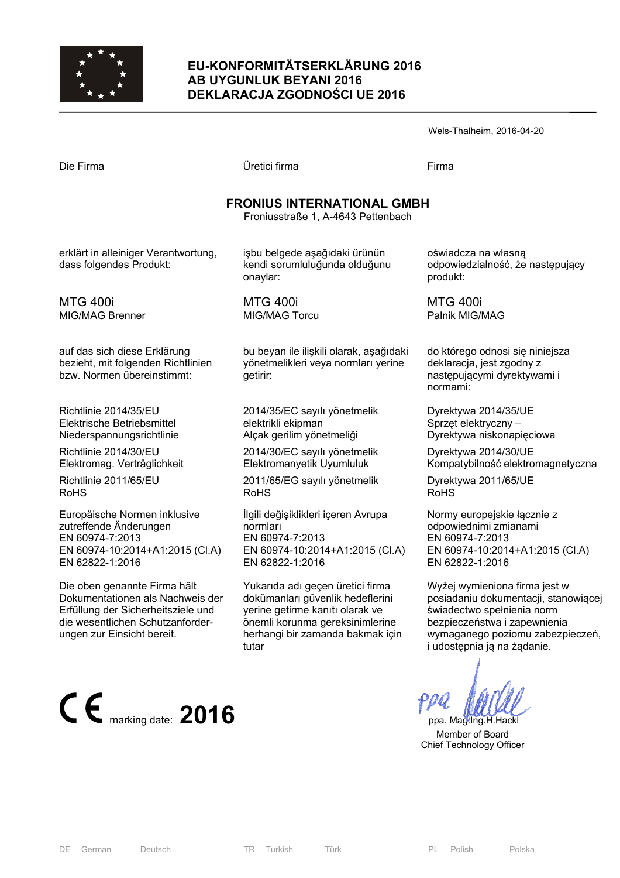

#### **EU-KONFORMITÄTSERKLÄRUNG 2016 AB UYGUNLUK BEYANI 2016 DEKLARACJA ZGODNOŚCI UE 2016**

| Die Firma |  |
|-----------|--|
|           |  |

Die Firma Üretici firma Firma

## **FRONIUS INTERNATIONAL GMBH**

Froniusstraße 1, A-4643 Pettenbach

erklärt in alleiniger Verantwortung, dass folgendes Produkt:

MTG 400i MIG/MAG Brenner

auf das sich diese Erklärung bezieht, mit folgenden Richtlinien bzw. Normen übereinstimmt:

Richtlinie 2014/35/EU Elektrische Betriebsmittel Niederspannungsrichtlinie

Richtlinie 2014/30/EU Elektromag. Verträglichkeit

Richtlinie 2011/65/EU RoHS

Europäische Normen inklusive zutreffende Änderungen EN 60974-7:2013 EN 60974-10:2014+A1:2015 (Cl.A) EN 62822-1:2016

Die oben genannte Firma hält Dokumentationen als Nachweis der Erfüllung der Sicherheitsziele und die wesentlichen Schutzanforderungen zur Einsicht bereit.



işbu belgede aşağıdaki ürünün kendi sorumluluğunda olduğunu onaylar:

MTG 400i MIG/MAG Torcu

bu beyan ile ilişkili olarak, aşağıdaki yönetmelikleri veya normları yerine getirir:

2014/35/EC sayılı yönetmelik elektrikli ekipman Alçak gerilim yönetmeliği

2014/30/EC sayılı yönetmelik Elektromanyetik Uyumluluk

2011/65/EG sayılı yönetmelik RoHS

İlgili değişiklikleri içeren Avrupa normları EN 60974-7:2013 EN 60974-10:2014+A1:2015 (Cl.A) EN 62822-1:2016

Yukarıda adı geçen üretici firma dokümanları güvenlik hedeflerini yerine getirme kanıtı olarak ve önemli korunma gereksinimlerine herhangi bir zamanda bakmak için tutar

oświadcza na własną odpowiedzialność, że następujący produkt:

MTG 400i Palnik MIG/MAG

do którego odnosi się niniejsza deklaracja, jest zgodny z następującymi dyrektywami i normami:

Dyrektywa 2014/35/UE Sprzęt elektryczny – Dyrektywa niskonapięciowa

Dyrektywa 2014/30/UE Kompatybilność elektromagnetyczna

Dyrektywa 2011/65/UE RoHS

Normy europejskie łącznie z odpowiednimi zmianami EN 60974-7:2013 EN 60974-10:2014+A1:2015 (Cl.A) EN 62822-1:2016

Wyżej wymieniona firma jest w posiadaniu dokumentacji, stanowiącej świadectwo spełnienia norm bezpieczeństwa i zapewnienia wymaganego poziomu zabezpieczeń, i udostępnia ją na żądanie.

 Member of Board Chief Technology Officer